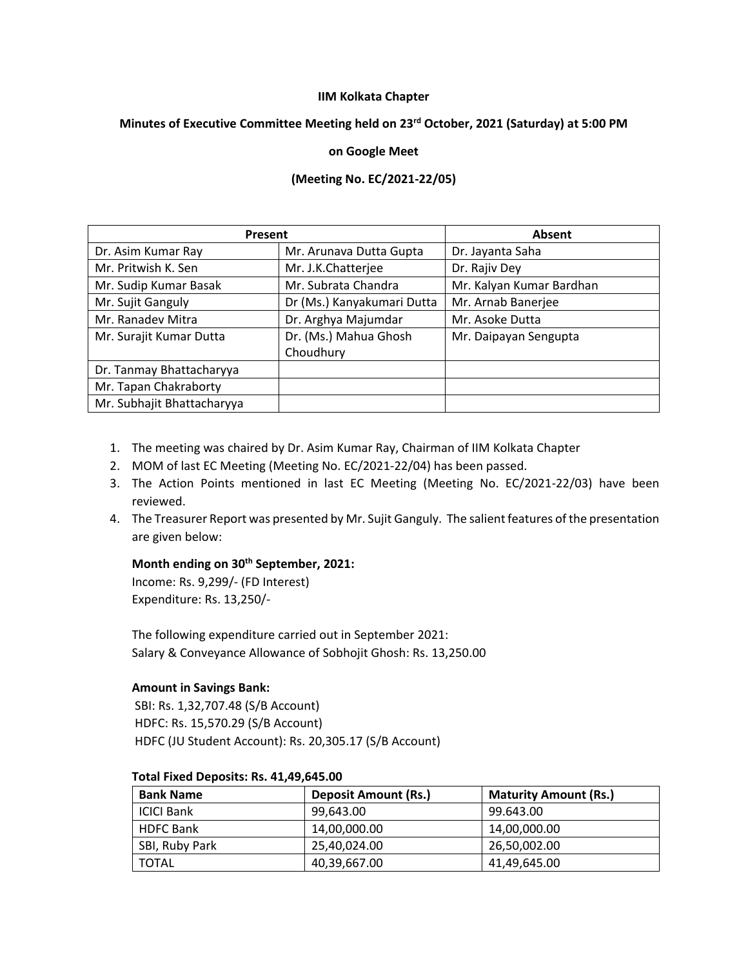#### **IIM Kolkata Chapter**

# **Minutes of Executive Committee Meeting held on 23rd October, 2021 (Saturday) at 5:00 PM**

### **on Google Meet**

## **(Meeting No. EC/2021-22/05)**

| Present                    |                            | Absent                   |
|----------------------------|----------------------------|--------------------------|
| Dr. Asim Kumar Ray         | Mr. Arunava Dutta Gupta    | Dr. Jayanta Saha         |
| Mr. Pritwish K. Sen        | Mr. J.K.Chatterjee         | Dr. Rajiv Dey            |
| Mr. Sudip Kumar Basak      | Mr. Subrata Chandra        | Mr. Kalyan Kumar Bardhan |
| Mr. Sujit Ganguly          | Dr (Ms.) Kanyakumari Dutta | Mr. Arnab Banerjee       |
| Mr. Ranadev Mitra          | Dr. Arghya Majumdar        | Mr. Asoke Dutta          |
| Mr. Surajit Kumar Dutta    | Dr. (Ms.) Mahua Ghosh      | Mr. Daipayan Sengupta    |
|                            | Choudhury                  |                          |
| Dr. Tanmay Bhattacharyya   |                            |                          |
| Mr. Tapan Chakraborty      |                            |                          |
| Mr. Subhajit Bhattacharyya |                            |                          |

- 1. The meeting was chaired by Dr. Asim Kumar Ray, Chairman of IIM Kolkata Chapter
- 2. MOM of last EC Meeting (Meeting No. EC/2021-22/04) has been passed.
- 3. The Action Points mentioned in last EC Meeting (Meeting No. EC/2021-22/03) have been reviewed.
- 4. The Treasurer Report was presented by Mr. Sujit Ganguly. The salient features of the presentation are given below:

# **Month ending on 30th September, 2021:**

Income: Rs. 9,299/- (FD Interest) Expenditure: Rs. 13,250/-

The following expenditure carried out in September 2021: Salary & Conveyance Allowance of Sobhojit Ghosh: Rs. 13,250.00

## **Amount in Savings Bank:**

SBI: Rs. 1,32,707.48 (S/B Account) HDFC: Rs. 15,570.29 (S/B Account) HDFC (JU Student Account): Rs. 20,305.17 (S/B Account)

| <b>Bank Name</b>  | <b>Deposit Amount (Rs.)</b> | <b>Maturity Amount (Rs.)</b> |
|-------------------|-----------------------------|------------------------------|
| <b>ICICI Bank</b> | 99.643.00                   | 99.643.00                    |
| <b>HDFC Bank</b>  | 14.00.000.00                | 14,00,000.00                 |
| SBI, Ruby Park    | 25.40.024.00                | 26,50,002.00                 |
| TOTAL             | 40,39,667.00                | 41,49,645.00                 |

#### **Total Fixed Deposits: Rs. 41,49,645.00**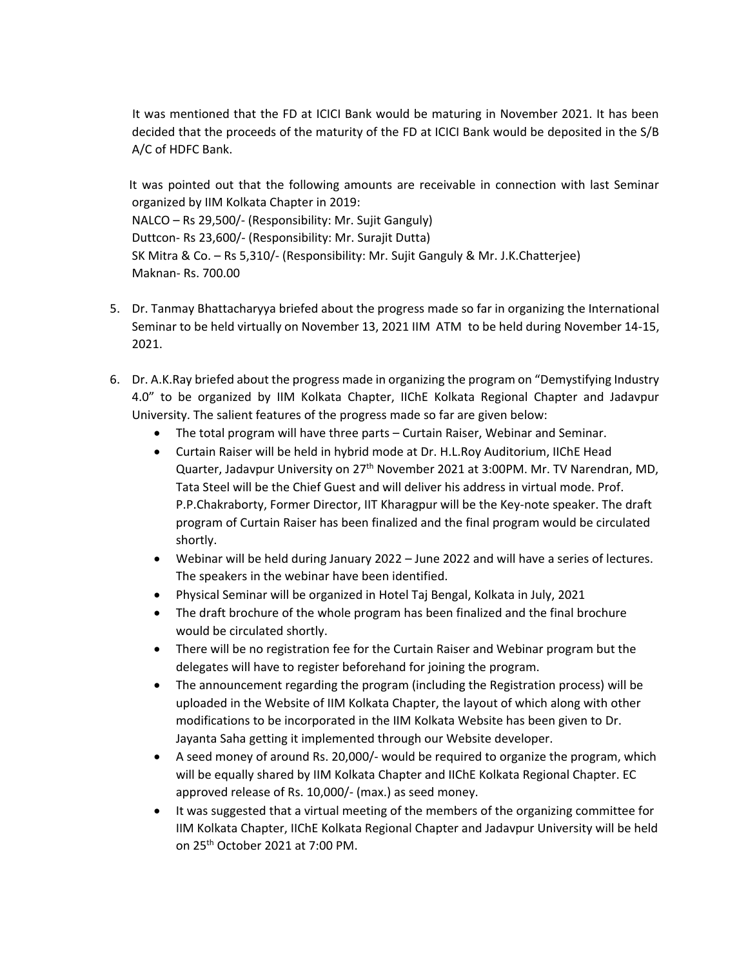It was mentioned that the FD at ICICI Bank would be maturing in November 2021. It has been decided that the proceeds of the maturity of the FD at ICICI Bank would be deposited in the S/B A/C of HDFC Bank.

 It was pointed out that the following amounts are receivable in connection with last Seminar organized by IIM Kolkata Chapter in 2019: NALCO – Rs 29,500/- (Responsibility: Mr. Sujit Ganguly) Duttcon- Rs 23,600/- (Responsibility: Mr. Surajit Dutta) SK Mitra & Co. – Rs 5,310/- (Responsibility: Mr. Sujit Ganguly & Mr. J.K.Chatterjee) Maknan- Rs. 700.00

- 5. Dr. Tanmay Bhattacharyya briefed about the progress made so far in organizing the International Seminar to be held virtually on November 13, 2021 IIM ATM to be held during November 14-15, 2021.
- 6. Dr. A.K.Ray briefed about the progress made in organizing the program on "Demystifying Industry 4.0" to be organized by IIM Kolkata Chapter, IIChE Kolkata Regional Chapter and Jadavpur University. The salient features of the progress made so far are given below:
	- The total program will have three parts Curtain Raiser, Webinar and Seminar.
	- Curtain Raiser will be held in hybrid mode at Dr. H.L.Roy Auditorium, IIChE Head Quarter, Jadavpur University on 27<sup>th</sup> November 2021 at 3:00PM. Mr. TV Narendran, MD, Tata Steel will be the Chief Guest and will deliver his address in virtual mode. Prof. P.P.Chakraborty, Former Director, IIT Kharagpur will be the Key-note speaker. The draft program of Curtain Raiser has been finalized and the final program would be circulated shortly.
	- Webinar will be held during January 2022 June 2022 and will have a series of lectures. The speakers in the webinar have been identified.
	- Physical Seminar will be organized in Hotel Taj Bengal, Kolkata in July, 2021
	- The draft brochure of the whole program has been finalized and the final brochure would be circulated shortly.
	- There will be no registration fee for the Curtain Raiser and Webinar program but the delegates will have to register beforehand for joining the program.
	- The announcement regarding the program (including the Registration process) will be uploaded in the Website of IIM Kolkata Chapter, the layout of which along with other modifications to be incorporated in the IIM Kolkata Website has been given to Dr. Jayanta Saha getting it implemented through our Website developer.
	- A seed money of around Rs. 20,000/- would be required to organize the program, which will be equally shared by IIM Kolkata Chapter and IIChE Kolkata Regional Chapter. EC approved release of Rs. 10,000/- (max.) as seed money.
	- It was suggested that a virtual meeting of the members of the organizing committee for IIM Kolkata Chapter, IIChE Kolkata Regional Chapter and Jadavpur University will be held on 25th October 2021 at 7:00 PM.